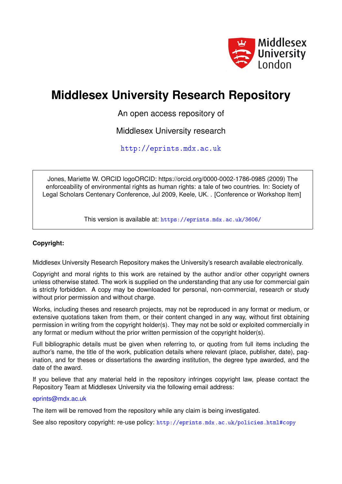

# **Middlesex University Research Repository**

An open access repository of

Middlesex University research

<http://eprints.mdx.ac.uk>

Jones, Mariette W. ORCID logoORCID: https://orcid.org/0000-0002-1786-0985 (2009) The enforceability of environmental rights as human rights: a tale of two countries. In: Society of Legal Scholars Centenary Conference, Jul 2009, Keele, UK. . [Conference or Workshop Item]

This version is available at: <https://eprints.mdx.ac.uk/3606/>

# **Copyright:**

Middlesex University Research Repository makes the University's research available electronically.

Copyright and moral rights to this work are retained by the author and/or other copyright owners unless otherwise stated. The work is supplied on the understanding that any use for commercial gain is strictly forbidden. A copy may be downloaded for personal, non-commercial, research or study without prior permission and without charge.

Works, including theses and research projects, may not be reproduced in any format or medium, or extensive quotations taken from them, or their content changed in any way, without first obtaining permission in writing from the copyright holder(s). They may not be sold or exploited commercially in any format or medium without the prior written permission of the copyright holder(s).

Full bibliographic details must be given when referring to, or quoting from full items including the author's name, the title of the work, publication details where relevant (place, publisher, date), pagination, and for theses or dissertations the awarding institution, the degree type awarded, and the date of the award.

If you believe that any material held in the repository infringes copyright law, please contact the Repository Team at Middlesex University via the following email address:

## [eprints@mdx.ac.uk](mailto:eprints@mdx.ac.uk)

The item will be removed from the repository while any claim is being investigated.

See also repository copyright: re-use policy: <http://eprints.mdx.ac.uk/policies.html#copy>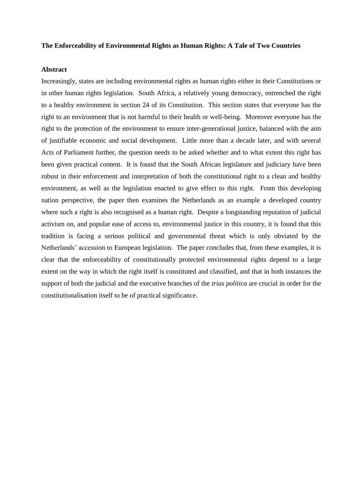#### **The Enforceability of Environmental Rights as Human Rights: A Tale of Two Countries**

#### **Abstract**

<span id="page-1-3"></span><span id="page-1-2"></span><span id="page-1-1"></span><span id="page-1-0"></span>Increasingly, states are including environmental rights as human rights either in their Constitutions or in other human rights legislation. South Africa, a relatively young democracy, entrenched the right to a healthy environment in section 24 of its Constitution. This section states that everyone has the right to an environment that is not harmful to their health or well-being. Moreover everyone has the right to the protection of the environment to ensure inter-generational justice, balanced with the aim of justifiable economic and social development. Little more than a decade later, and with several Acts of Parliament further, the question needs to be asked whether and to what extent this right has been given practical content. It is found that the South African legislature and judiciary have been robust in their enforcement and interpretation of both the constitutional right to a clean and healthy environment, as well as the legislation enacted to give effect to this right. From this developing nation perspective, the paper then examines the Netherlands as an example a developed country where such a right is also recognised as a human right. Despite a longstanding reputation of judicial activism on, and popular ease of access to, environmental justice in this country, it is found that this tradition is facing a serious political and governmental threat which is only obviated by the Netherlands" accession to European legislation. The paper concludes that, from these examples, it is clear that the enforceability of constitutionally protected environmental rights depend to a large extent on the way in which the right itself is constituted and classified, and that in both instances the support of both the judicial and the executive branches of the *trias politica* are crucial in order for the constitutionalisation itself to be of practical significance.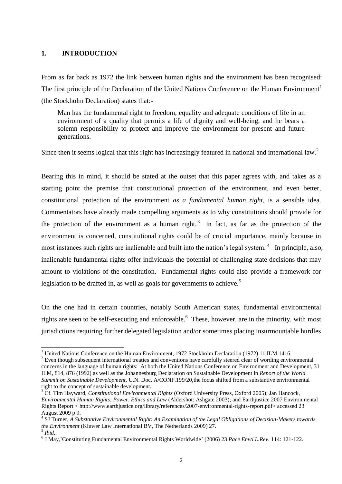#### **1. INTRODUCTION**

1

From as far back as 1972 the link between human rights and the environment has been recognised: The first principle of the Declaration of the United Nations Conference on the Human Environment<sup>1</sup> (the Stockholm Declaration) states that:-

Man has the fundamental right to freedom, equality and adequate conditions of life in an environment of a quality that permits a life of dignity and well-being, and he bears a solemn responsibility to protect and improve the environment for present and future generations.

Since then it seems logical that this right has increasingly featured in national and international law.<sup>2</sup>

<span id="page-2-0"></span>Bearing this in mind, it should be stated at the outset that this paper agrees with, and takes as a starting point the premise that constitutional protection of the environment, and even better, constitutional protection of the environment *as a fundamental human right*, is a sensible idea. Commentators have already made compelling arguments as to why constitutions should provide for the protection of the environment as a human right.<sup>3</sup> In fact, as far as the protection of the environment is concerned, constitutional rights could be of crucial importance, mainly because in most instances such rights are inalienable and built into the nation's legal system.<sup>4</sup> In principle, also, inalienable fundamental rights offer individuals the potential of challenging state decisions that may amount to violations of the constitution. Fundamental rights could also provide a framework for legislation to be drafted in, as well as goals for governments to achieve.<sup>5</sup>

On the one had in certain countries, notably South American states, fundamental environmental rights are seen to be self-executing and enforceable.<sup>6</sup> These, however, are in the minority, with most jurisdictions requiring further delegated legislation and/or sometimes placing insurmountable hurdles

<sup>&</sup>lt;sup>1</sup> United Nations Conference on the Human Environment, 1972 Stockholm Declaration (1972) 11 ILM 1416.

<sup>&</sup>lt;sup>2</sup> Even though subsequent international treaties and conventions have carefully steered clear of wording environmental concerns in the language of human rights: At both the United Nations Conference on Environment and Development, 31 ILM, 814, 876 (1992) as well as the Johannesburg Declaration on Sustainable Development in *Report of the World Summit on Sustainable Development,* U.N. Doc. A/CONF.199/20,the focus shifted from a substantive environmental right to the concept of sustainable development.

<sup>3</sup> Cf. Tim Hayward, *Constitutional Environmental Rights* (Oxford University Press, Oxford 2005); Jan Hancock, *Environmental Human Rights: Power, Ethics and Law* (Aldershot: Ashgate 2003); and Earthjustice 2007 Environmental Rights Report < http://www.earthjustice.org/library/references/2007-environmental-rights-report.pdf> accessed 23 August 2009 p 9.

<sup>4</sup> SJ Turner, *A Substantive Environmental Right: An Examination of the Legal Obligations of Decision-Makers towards the Environment* (Kluwer Law International BV, The Netherlands 2009) 27. 5 *Ibid.*.

<sup>&</sup>lt;sup>6</sup> J May,'Constituting Fundamental Environmental Rights Worldwide' (2006) 23 Pace Envtl.L.Rev. 114: 121-122.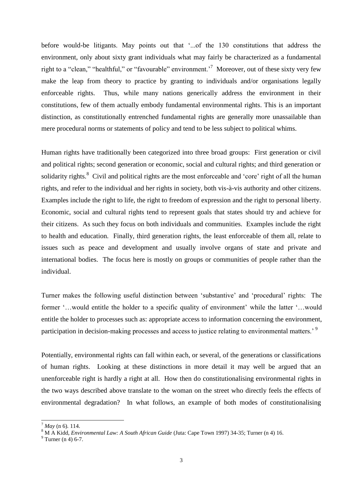before would-be litigants. May points out that "...of the 130 constitutions that address the environment, only about sixty grant individuals what may fairly be characterized as a fundamental right to a "clean," "healthful," or "favourable" environment.<sup>7</sup> Moreover, out of these sixty very few make the leap from theory to practice by granting to individuals and/or organisations legally enforceable rights. Thus, while many nations generically address the environment in their constitutions, few of them actually embody fundamental environmental rights. This is an important distinction, as constitutionally entrenched fundamental rights are generally more unassailable than mere procedural norms or statements of policy and tend to be less subject to political whims.

Human rights have traditionally been categorized into three broad groups: First generation or civil and political rights; second generation or economic, social and cultural rights; and third generation or solidarity rights.<sup>8</sup> Civil and political rights are the most enforceable and 'core' right of all the human rights, and refer to the individual and her rights in society, both vis-à-vis authority and other citizens. Examples include the right to life, the right to freedom of expression and the right to personal liberty. Economic, social and cultural rights tend to represent goals that states should try and achieve for their citizens. As such they focus on both individuals and communities. Examples include the right to health and education. Finally, third generation rights, the least enforceable of them all, relate to issues such as peace and development and usually involve organs of state and private and international bodies. The focus here is mostly on groups or communities of people rather than the individual.

<span id="page-3-0"></span>Turner makes the following useful distinction between "substantive" and "procedural" rights: The former "...would entitle the holder to a specific quality of environment" while the latter "...would" entitle the holder to processes such as: appropriate access to information concerning the environment, participation in decision-making processes and access to justice relating to environmental matters.<sup>9</sup>

Potentially, environmental rights can fall within each, or several, of the generations or classifications of human rights. Looking at these distinctions in more detail it may well be argued that an unenforceable right is hardly a right at all. How then do constitutionalising environmental rights in the two ways described above translate to the woman on the street who directly feels the effects of environmental degradation? In what follows, an example of both modes of constitutionalising

 $\overline{a}$ 

 $^{7}$  *May* (n [6\)](#page-1-0), 114.

<sup>&</sup>lt;sup>8</sup> M A Kidd, *Environmental Law: A South African Guide* (Juta: Cape Town 1997) 34-35; Turner ([n 4\)](#page-1-1) 16.

 $9$  Turner (n [4\)](#page-1-2) 6-7.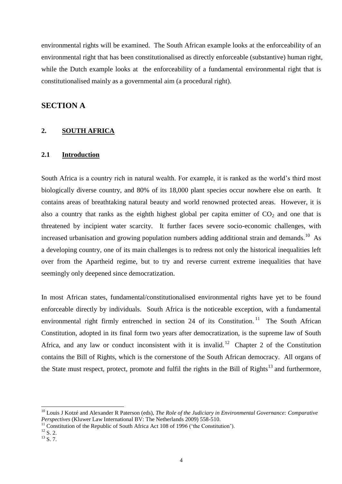environmental rights will be examined. The South African example looks at the enforceability of an environmental right that has been constitutionalised as directly enforceable (substantive) human right, while the Dutch example looks at the enforceability of a fundamental environmental right that is constitutionalised mainly as a governmental aim (a procedural right).

# **SECTION A**

## **2. SOUTH AFRICA**

## **2.1 Introduction**

South Africa is a country rich in natural wealth. For example, it is ranked as the world"s third most biologically diverse country, and 80% of its 18,000 plant species occur nowhere else on earth. It contains areas of breathtaking natural beauty and world renowned protected areas. However, it is also a country that ranks as the eighth highest global per capita emitter of  $CO<sub>2</sub>$  and one that is threatened by incipient water scarcity. It further faces severe socio-economic challenges, with increased urbanisation and growing population numbers adding additional strain and demands.<sup>10</sup> As a developing country, one of its main challenges is to redress not only the historical inequalities left over from the Apartheid regime, but to try and reverse current extreme inequalities that have seemingly only deepened since democratization.

In most African states, fundamental/constitutionalised environmental rights have yet to be found enforceable directly by individuals. South Africa is the noticeable exception, with a fundamental environmental right firmly entrenched in section 24 of its Constitution.<sup>11</sup> The South African Constitution, adopted in its final form two years after democratization, is the supreme law of South Africa, and any law or conduct inconsistent with it is invalid.<sup>12</sup> Chapter 2 of the Constitution contains the Bill of Rights, which is the cornerstone of the South African democracy. All organs of the State must respect, protect, promote and fulfil the rights in the Bill of Rights<sup>13</sup> and furthermore,

<sup>&</sup>lt;sup>10</sup> Louis J Kotzé and Alexander R Paterson (eds), *The Role of the Judiciary in Environmental Governance: Comparative Perspectives* (Kluwer Law International BV: The Netherlands 2009) 558-510.

 $11$  Constitution of the Republic of South Africa Act 108 of 1996 ('the Constitution').

 $^{12}$  S. 2.

 $^{13}$  S. 7.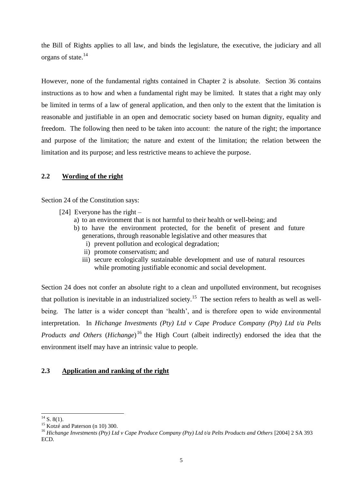<span id="page-5-0"></span>the Bill of Rights applies to all law, and binds the legislature, the executive, the judiciary and all organs of state. 14

However, none of the fundamental rights contained in Chapter 2 is absolute. Section 36 contains instructions as to how and when a fundamental right may be limited. It states that a right may only be limited in terms of a law of general application, and then only to the extent that the limitation is reasonable and justifiable in an open and democratic society based on human dignity, equality and freedom. The following then need to be taken into account: the nature of the right; the importance and purpose of the limitation; the nature and extent of the limitation; the relation between the limitation and its purpose; and less restrictive means to achieve the purpose.

# **2.2 Wording of the right**

Section 24 of the Constitution says:

- <span id="page-5-1"></span>[24] Everyone has the right –
	- a) to an environment that is not harmful to their health or well-being; and
	- b) to have the environment protected, for the benefit of present and future generations, through reasonable legislative and other measures that
		- i) prevent pollution and ecological degradation;
		- ii) promote conservatism; and
		- iii) secure ecologically sustainable development and use of natural resources while promoting justifiable economic and social development.

Section 24 does not confer an absolute right to a clean and unpolluted environment, but recognises that pollution is inevitable in an industrialized society.<sup>15</sup> The section refers to health as well as wellbeing. The latter is a wider concept than 'health', and is therefore open to wide environmental interpretation. In *Hichange Investments (Pty) Ltd v Cape Produce Company (Pty) Ltd t/a Pelts Products and Others* (*Hichange*)<sup>16</sup> the High Court (albeit indirectly) endorsed the idea that the environment itself may have an intrinsic value to people.

## **2.3 Application and ranking of the right**

 $^{14}$  S. 8(1).

<sup>&</sup>lt;sup>15</sup> Kotzé and Paterson (n [10\)](#page-3-0) 300.

<sup>&</sup>lt;sup>16</sup> *Hichange Investments (Pty) Ltd v Cape Produce Company (Pty) Ltd t/a Pelts Products and Others* [2004] 2 SA 393 ECD.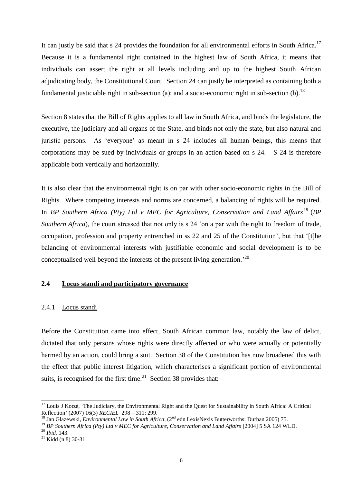It can justly be said that  $s$  24 provides the foundation for all environmental efforts in South Africa.<sup>17</sup> Because it is a fundamental right contained in the highest law of South Africa, it means that individuals can assert the right at all levels including and up to the highest South African adjudicating body, the Constitutional Court. Section 24 can justly be interpreted as containing both a fundamental justiciable right in sub-section (a); and a socio-economic right in sub-section (b).<sup>18</sup>

Section 8 states that the Bill of Rights applies to all law in South Africa, and binds the legislature, the executive, the judiciary and all organs of the State, and binds not only the state, but also natural and juristic persons. As "everyone" as meant in s 24 includes all human beings, this means that corporations may be sued by individuals or groups in an action based on s 24. S 24 is therefore applicable both vertically and horizontally.

It is also clear that the environmental right is on par with other socio-economic rights in the Bill of Rights. Where competing interests and norms are concerned, a balancing of rights will be required. In *BP* Southern Africa (Pty) Ltd v MEC for Agriculture, Conservation and Land Affairs<sup>19</sup> (BP *Southern Africa*), the court stressed that not only is s 24 'on a par with the right to freedom of trade, occupation, profession and property entrenched in ss 22 and 25 of the Constitution", but that "[t]he balancing of environmental interests with justifiable economic and social development is to be conceptualised well beyond the interests of the present living generation.<sup>20</sup>

## **2.4 Locus standi and participatory governance**

#### 2.4.1 Locus standi

Before the Constitution came into effect, South African common law, notably the law of delict, dictated that only persons whose rights were directly affected or who were actually or potentially harmed by an action, could bring a suit. Section 38 of the Constitution has now broadened this with the effect that public interest litigation, which characterises a significant portion of environmental suits, is recognised for the first time. $21$  Section 38 provides that:

1

<sup>&</sup>lt;sup>17</sup> Louis J Kotzé, 'The Judiciary, the Environmental Right and the Quest for Sustainability in South Africa: A Critical Reflection" (2007) 16(3) *RECIEL* 298 – 311: 299.

<sup>&</sup>lt;sup>18</sup> Jan Glazewski, *Environmental Law in South Africa*, (2<sup>nd</sup> edn LexisNexis Butterworths: Durban 2005) 75.

<sup>19</sup> *BP Southern Africa (Pty) Ltd v MEC for Agriculture, Conservation and Land Affairs* [2004] 5 SA 124 WLD.

<sup>20</sup> *Ibid.* 143.

 $21$  Kidd (n [8\)](#page-2-0) 30-31.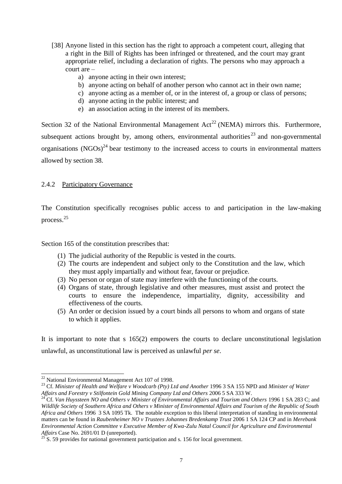- [38] Anyone listed in this section has the right to approach a competent court, alleging that a right in the Bill of Rights has been infringed or threatened, and the court may grant appropriate relief, including a declaration of rights. The persons who may approach a court are –
	- a) anyone acting in their own interest;
	- b) anyone acting on behalf of another person who cannot act in their own name;
	- c) anyone acting as a member of, or in the interest of, a group or class of persons;
	- d) anyone acting in the public interest; and
	- e) an association acting in the interest of its members.

Section 32 of the National Environmental Management  $Act^{22}$  (NEMA) mirrors this. Furthermore, subsequent actions brought by, among others, environmental authorities<sup>23</sup> and non-governmental organisations  $(NGOs)^{24}$  bear testimony to the increased access to courts in environmental matters allowed by section 38.

#### 2.4.2 Participatory Governance

The Constitution specifically recognises public access to and participation in the law-making process.<sup>25</sup>

Section 165 of the constitution prescribes that:

- (1) The judicial authority of the Republic is vested in the courts.
- (2) The courts are independent and subject only to the Constitution and the law, which they must apply impartially and without fear, favour or prejudice.
- (3) No person or organ of state may interfere with the functioning of the courts.
- (4) Organs of state, through legislative and other measures, must assist and protect the courts to ensure the independence, impartiality, dignity, accessibility and effectiveness of the courts.
- (5) An order or decision issued by a court binds all persons to whom and organs of state to which it applies.

It is important to note that s 165(2) empowers the courts to declare unconstitutional legislation unlawful, as unconstitutional law is perceived as unlawful *per se*.

 $22$  National Environmental Management Act 107 of 1998.

<sup>23</sup> Cf. *Minister of Health and Welfare v Woodcarb (Pty) Ltd and Another* 1996 3 SA 155 NPD and *Minister of Water Affairs and Forestry v Stilfontein Gold Mining Company Ltd and Others* 2006 5 SA 333 W.

<sup>&</sup>lt;sup>24</sup> Cf. *Van Huyssteen NO and Others v Minister of Environmental Affairs and Tourism and Others* 1996 1 SA 283 C; and *Wildlife Society of Southern Africa and Others v Minister of Environmental Affairs and Tourism of the Republic of South Africa and Others* 1996 3 SA 1095 Tk. The notable exception to this liberal interpretation of standing in environmental matters can be found in *Raubenheimer NO v Trustees Johannes Bredenkamp Trust* 2006 1 SA 124 CP and in *Merebank Environmental Action Committee v Executive Member of Kwa-Zulu Natal Council for Agriculture and Environmental Affairs* Case No. 2691/01 D (unreported).

 $25$  S. 59 provides for national government participation and s. 156 for local government.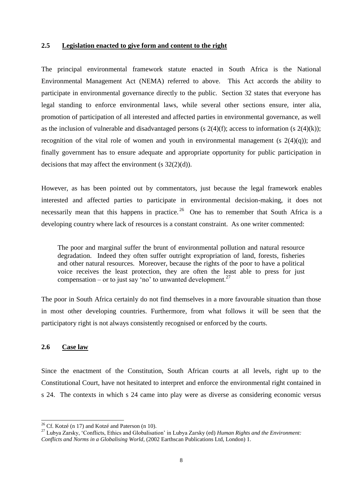#### <span id="page-8-0"></span>**2.5 Legislation enacted to give form and content to the right**

The principal environmental framework statute enacted in South Africa is the National Environmental Management Act (NEMA) referred to above. This Act accords the ability to participate in environmental governance directly to the public. Section 32 states that everyone has legal standing to enforce environmental laws, while several other sections ensure, inter alia, promotion of participation of all interested and affected parties in environmental governance, as well as the inclusion of vulnerable and disadvantaged persons (s  $2(4)(f)$ ; access to information (s  $2(4)(k)$ ); recognition of the vital role of women and youth in environmental management (s  $2(4)(q)$ ); and finally government has to ensure adequate and appropriate opportunity for public participation in decisions that may affect the environment (s  $32(2)(d)$ ).

However, as has been pointed out by commentators, just because the legal framework enables interested and affected parties to participate in environmental decision-making, it does not necessarily mean that this happens in practice.<sup>26</sup> One has to remember that South Africa is a developing country where lack of resources is a constant constraint. As one writer commented:

The poor and marginal suffer the brunt of environmental pollution and natural resource degradation. Indeed they often suffer outright expropriation of land, forests, fisheries and other natural resources. Moreover, because the rights of the poor to have a political voice receives the least protection, they are often the least able to press for just compensation – or to just say 'no' to unwanted development. $27$ 

The poor in South Africa certainly do not find themselves in a more favourable situation than those in most other developing countries. Furthermore, from what follows it will be seen that the participatory right is not always consistently recognised or enforced by the courts.

## **2.6 Case law**

 $\overline{a}$ 

Since the enactment of the Constitution, South African courts at all levels, right up to the Constitutional Court, have not hesitated to interpret and enforce the environmental right contained in s 24. The contexts in which s 24 came into play were as diverse as considering economic versus

<sup>&</sup>lt;sup>26</sup> Cf. Kotzé (n [17\)](#page-5-0) and Kotzé and Paterson (n [10\)](#page-3-0).

<sup>&</sup>lt;sup>27</sup> Lubya Zarsky, 'Conflicts, Ethics and Globalisation' in Lubya Zarsky (ed) *Human Rights and the Environment: Conflicts and Norms in a Globalising World*, (2002 Earthscan Publications Ltd, London) 1.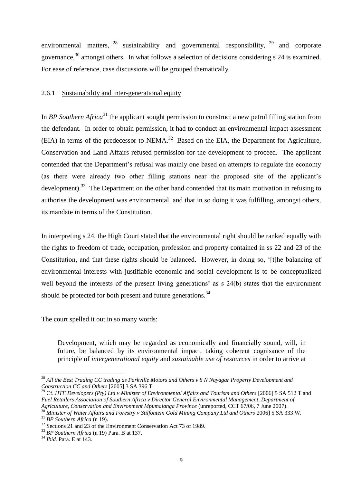environmental matters,  $^{28}$  sustainability and governmental responsibility,  $^{29}$  and corporate governance,<sup>30</sup> amongst others. In what follows a selection of decisions considering s 24 is examined. For ease of reference, case discussions will be grouped thematically.

#### <span id="page-9-0"></span>2.6.1 Sustainability and inter-generational equity

In *BP Southern Africa*<sup>31</sup> the applicant sought permission to construct a new petrol filling station from the defendant. In order to obtain permission, it had to conduct an environmental impact assessment  $(EIA)$  in terms of the predecessor to NEMA.<sup>32</sup> Based on the EIA, the Department for Agriculture, Conservation and Land Affairs refused permission for the development to proceed. The applicant contended that the Department"s refusal was mainly one based on attempts to regulate the economy (as there were already two other filling stations near the proposed site of the applicant"s development).<sup>33</sup> The Department on the other hand contended that its main motivation in refusing to authorise the development was environmental, and that in so doing it was fulfilling, amongst others, its mandate in terms of the Constitution.

<span id="page-9-1"></span>In interpreting s 24, the High Court stated that the environmental right should be ranked equally with the rights to freedom of trade, occupation, profession and property contained in ss 22 and 23 of the Constitution, and that these rights should be balanced. However, in doing so, "[t]he balancing of environmental interests with justifiable economic and social development is to be conceptualized well beyond the interests of the present living generations' as s 24(b) states that the environment should be protected for both present and future generations.<sup>34</sup>

The court spelled it out in so many words:

Development, which may be regarded as economically and financially sound, will, in future, be balanced by its environmental impact, taking coherent cognisance of the principle of *intergenerational equity* and *sustainable use of resources* in order to arrive at

<sup>28</sup> *All the Best Trading CC trading as Parkville Motors and Others v S N Nayagar Property Development and Construction CC and Others* [2005] 3 SA 396 T.

<sup>29</sup> Cf. *HTF Developers (Pty) Ltd v Minister of Environmental Affairs and Tourism and Others* [2006] 5 SA 512 T and *Fuel Retailers Association of Southern Africa v Director General Environmental Management, Department of Agriculture, Conservation and Environment Mpumalanga Province* (unreported, CCT 67/06, 7 June 2007).

<sup>30</sup> *Minister of Water Affairs and Forestry v Stilfontein Gold Mining Company Ltd and Others* 2006] 5 SA 333 W. <sup>31</sup> *BP Southern Africa* ([n 19\)](#page-5-1).

<sup>&</sup>lt;sup>32</sup> Sections 21 and 23 of the Environment Conservation Act 73 of 1989.

<sup>33</sup> *BP Southern Africa* (n 19) Para. B at 137.

<sup>34</sup> *Ibid.*.Para. E at 143.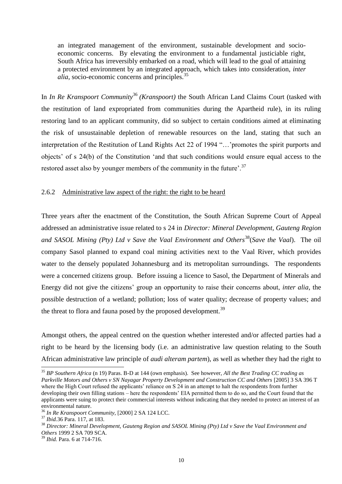an integrated management of the environment, sustainable development and socioeconomic concerns. By elevating the environment to a fundamental justiciable right, South Africa has irreversibly embarked on a road, which will lead to the goal of attaining a protected environment by an integrated approach, which takes into consideration, *inter alia*, socio-economic concerns and principles.<sup>35</sup>

In *In Re Kranspoort Community*<sup>36</sup> *(Kranspoort)* the South African Land Claims Court (tasked with the restitution of land expropriated from communities during the Apartheid rule), in its ruling restoring land to an applicant community, did so subject to certain conditions aimed at eliminating the risk of unsustainable depletion of renewable resources on the land, stating that such an interpretation of the Restitution of Land Rights Act 22 of 1994 "…"promotes the spirit purports and objects" of s 24(b) of the Constitution "and that such conditions would ensure equal access to the restored asset also by younger members of the community in the future'.<sup>37</sup>

## 2.6.2 Administrative law aspect of the right: the right to be heard

<span id="page-10-0"></span>Three years after the enactment of the Constitution, the South African Supreme Court of Appeal addressed an administrative issue related to s 24 in *Director: Mineral Development, Gauteng Region and SASOL Mining (Pty) Ltd v Save the Vaal Environment and Others*<sup>38</sup>(*Save the Vaal*).The oil company Sasol planned to expand coal mining activities next to the Vaal River, which provides water to the densely populated Johannesburg and its metropolitan surroundings. The respondents were a concerned citizens group. Before issuing a licence to Sasol, the Department of Minerals and Energy did not give the citizens" group an opportunity to raise their concerns about, *inter alia*, the possible destruction of a wetland; pollution; loss of water quality; decrease of property values; and the threat to flora and fauna posed by the proposed development.<sup>39</sup>

Amongst others, the appeal centred on the question whether interested and/or affected parties had a right to be heard by the licensing body (i.e. an administrative law question relating to the South African administrative law principle of *audi alteram partem*), as well as whether they had the right to

<sup>-</sup><sup>35</sup> *BP Southern Africa* (n 19) Paras. B-D at 144 (own emphasis). See however, *All the Best Trading CC trading as Parkville Motors and Others v SN Nayagar Property Development and Construction CC and Others* [2005] 3 SA 396 T where the High Court refused the applicants' reliance on S 24 in an attempt to halt the respondents from further developing their own filling stations – here the respondents' EIA permitted them to do so, and the Court found that the applicants were suing to protect their commercial interests without indicating that they needed to protect an interest of an environmental nature.

<sup>36</sup> *In Re Kranspoort Community*, [2000] 2 SA 124 LCC.

<sup>37</sup> *Ibid.*[36](#page-9-0) Para. 117, at 183.

<sup>38</sup> *Director: Mineral Development, Gauteng Region and SASOL Mining (Pty) Ltd v Save the Vaal Environment and Others* 1999 2 SA 709 SCA.

<sup>39</sup> *Ibid.* Para. 6 at 714-716.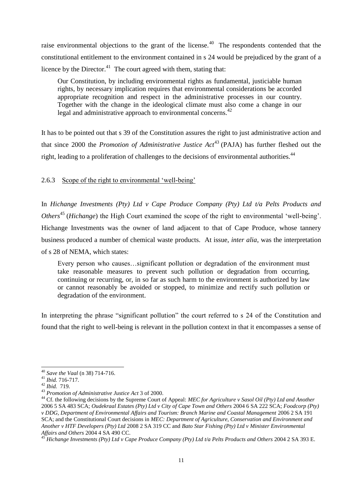raise environmental objections to the grant of the license.<sup>40</sup> The respondents contended that the constitutional entitlement to the environment contained in s 24 would be prejudiced by the grant of a licence by the Director. $41$  The court agreed with them, stating that:

<span id="page-11-0"></span>Our Constitution, by including environmental rights as fundamental, justiciable human rights, by necessary implication requires that environmental considerations be accorded appropriate recognition and respect in the administrative processes in our country. Together with the change in the ideological climate must also come a change in our legal and administrative approach to environmental concerns.<sup>42</sup>

It has to be pointed out that s 39 of the Constitution assures the right to just administrative action and that since 2000 the *Promotion of Administrative Justice Act*<sup>43</sup> (PAJA) has further fleshed out the right, leading to a proliferation of challenges to the decisions of environmental authorities.<sup>44</sup>

2.6.3 Scope of the right to environmental 'well-being'

In *Hichange Investments (Pty) Ltd v Cape Produce Company (Pty) Ltd t/a Pelts Products and Others*<sup>45</sup> (*Hichange*) the High Court examined the scope of the right to environmental 'well-being'. Hichange Investments was the owner of land adjacent to that of Cape Produce, whose tannery business produced a number of chemical waste products. At issue, *inter alia*, was the interpretation of s 28 of NEMA, which states:

Every person who causes…significant pollution or degradation of the environment must take reasonable measures to prevent such pollution or degradation from occurring, continuing or recurring, or, in so far as such harm to the environment is authorized by law or cannot reasonably be avoided or stopped, to minimize and rectify such pollution or degradation of the environment.

In interpreting the phrase "significant pollution" the court referred to s 24 of the Constitution and found that the right to well-being is relevant in the pollution context in that it encompasses a sense of

<sup>40</sup> *Save the Vaal* (n [38\)](#page-9-1) 714-716.

<sup>41</sup> *Ibid.* 716-717.

<sup>42</sup> *Ibid.* 719.

<sup>43</sup> *Promotion of Administrative Justice Act* 3 of 2000.

<sup>&</sup>lt;sup>44</sup> Cf. the following decisions by the Supreme Court of Appeal: *MEC for Agriculture v Sasol Oil (Pty) Ltd and Another* 2006 5 SA 483 SCA; *Oudekraal Estates (Pty) Ltd v City of Cape Town and Others* 2004 6 SA 222 SCA; *Foodcorp (Pty) v DDG, Department of Environmental Affairs and Tourism: Branch Marine and Coastal Management* 2006 2 SA 191 SCA; and the Constitutional Court decisions in *MEC: Department of Agriculture, Conservation and Environment and Another v HTF Developers (Pty) Ltd* 2008 2 SA 319 CC and *Bato Star Fishing (Pty) Ltd v Minister Environmental Affairs and Others* 2004 4 SA 490 CC.

<sup>45</sup> *Hichange Investments (Pty) Ltd v Cape Produce Company (Pty) Ltd t/a Pelts Products and Others* 2004 2 SA 393 E.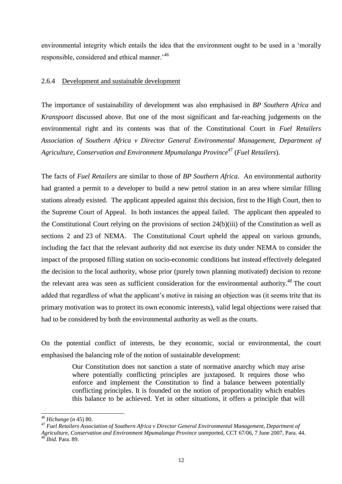environmental integrity which entails the idea that the environment ought to be used in a "morally responsible, considered and ethical manner.<sup>46</sup>

#### 2.6.4 Development and sustainable development

The importance of sustainability of development was also emphasised in *BP Southern Africa* and *Kranspoort* discussed above. But one of the most significant and far-reaching judgements on the environmental right and its contents was that of the Constitutional Court in *Fuel Retailers Association of Southern Africa v Director General Environmental Management, Department of Agriculture, Conservation and Environment Mpumalanga Province*<sup>47</sup> (*Fuel Retailers*).

The facts of *Fuel Retailers* are similar to those of *BP Southern Africa*. An environmental authority had granted a permit to a developer to build a new petrol station in an area where similar filling stations already existed. The applicant appealed against this decision, first to the High Court, then to the Supreme Court of Appeal. In both instances the appeal failed. The applicant then appealed to the Constitutional Court relying on the provisions of section 24(b)(iii) of the Constitution as well as sections 2 and 23 of NEMA. The Constitutional Court upheld the appeal on various grounds, including the fact that the relevant authority did not exercise its duty under NEMA to consider the impact of the proposed filling station on socio-economic conditions but instead effectively delegated the decision to the local authority, whose prior (purely town planning motivated) decision to rezone the relevant area was seen as sufficient consideration for the environmental authority.<sup>48</sup> The court added that regardless of what the applicant"s motive in raising an objection was (it seems trite that its primary motivation was to protect its own economic interests), valid legal objections were raised that had to be considered by both the environmental authority as well as the courts.

On the potential conflict of interests, be they economic, social or environmental, the court emphasised the balancing role of the notion of sustainable development:

> Our Constitution does not sanction a state of normative anarchy which may arise where potentially conflicting principles are juxtaposed. It requires those who enforce and implement the Constitution to find a balance between potentially conflicting principles. It is founded on the notion of proportionality which enables this balance to be achieved. Yet in other situations, it offers a principle that will

<sup>46</sup> *Hichange* (n [45\)](#page-10-0) 80.

<sup>47</sup> *Fuel Retailers Association of Southern Africa v Director General Environmental Management, Department of Agriculture, Conservation and Environment Mpumalanga Province* unreported, CCT 67/06, 7 June 2007, Para. 44. <sup>48</sup> *Ibid.* Para. 89.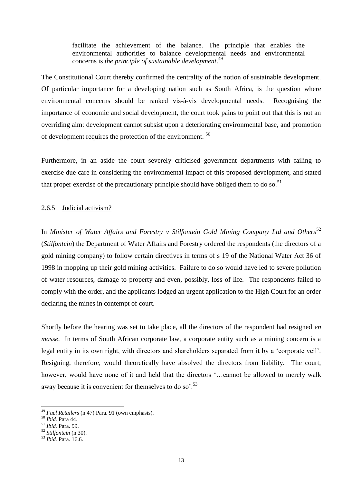facilitate the achievement of the balance. The principle that enables the environmental authorities to balance developmental needs and environmental concerns is *the principle of sustainable development*. 49

The Constitutional Court thereby confirmed the centrality of the notion of sustainable development. Of particular importance for a developing nation such as South Africa, is the question where environmental concerns should be ranked vis-à-vis developmental needs. Recognising the importance of economic and social development, the court took pains to point out that this is not an overriding aim: development cannot subsist upon a deteriorating environmental base, and promotion of development requires the protection of the environment. <sup>50</sup>

Furthermore, in an aside the court severely criticised government departments with failing to exercise due care in considering the environmental impact of this proposed development, and stated that proper exercise of the precautionary principle should have obliged them to do so.<sup>51</sup>

#### 2.6.5 Judicial activism?

In *Minister of Water Affairs and Forestry v Stilfontein Gold Mining Company Ltd and Others*<sup>52</sup> (*Stilfontein*) the Department of Water Affairs and Forestry ordered the respondents (the directors of a gold mining company) to follow certain directives in terms of s 19 of the National Water Act 36 of 1998 in mopping up their gold mining activities. Failure to do so would have led to severe pollution of water resources, damage to property and even, possibly, loss of life. The respondents failed to comply with the order, and the applicants lodged an urgent application to the High Court for an order declaring the mines in contempt of court.

<span id="page-13-0"></span>Shortly before the hearing was set to take place, all the directors of the respondent had resigned *en masse*. In terms of South African corporate law, a corporate entity such as a mining concern is a legal entity in its own right, with directors and shareholders separated from it by a "corporate veil". Resigning, therefore, would theoretically have absolved the directors from liability. The court, however, would have none of it and held that the directors "...cannot be allowed to merely walk away because it is convenient for themselves to do so'.<sup>53</sup>

<sup>49</sup> *Fuel Retailers* (n [47\)](#page-11-0) Para. 91 (own emphasis).

<sup>50</sup> *Ibid.* Para 44.

<sup>51</sup> *Ibid.* Para. 99.

<sup>52</sup> *Stilfontein* ([n 30\)](#page-8-0).

<sup>53</sup> *Ibid.* Para. 16.6.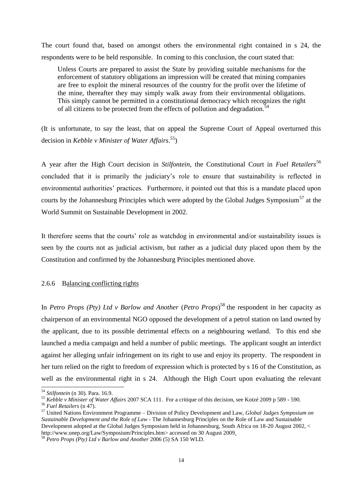The court found that, based on amongst others the environmental right contained in s 24, the respondents were to be held responsible. In coming to this conclusion, the court stated that:

Unless Courts are prepared to assist the State by providing suitable mechanisms for the enforcement of statutory obligations an impression will be created that mining companies are free to exploit the mineral resources of the country for the profit over the lifetime of the mine, thereafter they may simply walk away from their environmental obligations. This simply cannot be permitted in a constitutional democracy which recognizes the right of all citizens to be protected from the effects of pollution and degradation.<sup>54</sup>

(It is unfortunate, to say the least, that on appeal the Supreme Court of Appeal overturned this decision in *Kebble v Minister of Water Affairs*. 55)

A year after the High Court decision in *Stilfontein*, the Constitutional Court in *Fuel Retailers*<sup>56</sup> concluded that it is primarily the judiciary"s role to ensure that sustainability is reflected in environmental authorities' practices. Furthermore, it pointed out that this is a mandate placed upon courts by the Johannesburg Principles which were adopted by the Global Judges Symposium<sup>57</sup> at the World Summit on Sustainable Development in 2002.

It therefore seems that the courts' role as watchdog in environmental and/or sustainability issues is seen by the courts not as judicial activism, but rather as a judicial duty placed upon them by the Constitution and confirmed by the Johannesburg Principles mentioned above.

2.6.6 Balancing conflicting rights

In *Petro Props (Pty) Ltd v Barlow and Another* (*Petro Props*) <sup>58</sup> the respondent in her capacity as chairperson of an environmental NGO opposed the development of a petrol station on land owned by the applicant, due to its possible detrimental effects on a neighbouring wetland. To this end she launched a media campaign and held a number of public meetings. The applicant sought an interdict against her alleging unfair infringement on its right to use and enjoy its property. The respondent in her turn relied on the right to freedom of expression which is protected by s 16 of the Constitution, as well as the environmental right in s 24. Although the High Court upon evaluating the relevant

1

<sup>54</sup> *Stilfontein* ([n 30\)](#page-8-0)*.* Para. 16.9.

<sup>55</sup> *Kebble v Minister of Water Affairs* 2007 SCA 111. For a critique of this decision, see Kotzé 2009 p 589 - 590.

<sup>56</sup> *Fuel Retailers* (n [47\)](#page-11-0).

<sup>57</sup> United Nations Environment Programme – Division of Policy Development and Law, *Global Judges Symposium on Sustainable Development and the Role of Law* - The Johannesburg Principles on the Role of Law and Sustainable Development adopted at the Global Judges Symposium held in Johannesburg, South Africa on 18-20 August 2002, < http://www.unep.org/Law/Symposium/Principles.htm> accessed on 30 August 2009.

<sup>58</sup> *Petro Props (Pty) Ltd v Barlow and Another* 2006 (5) SA 150 WLD.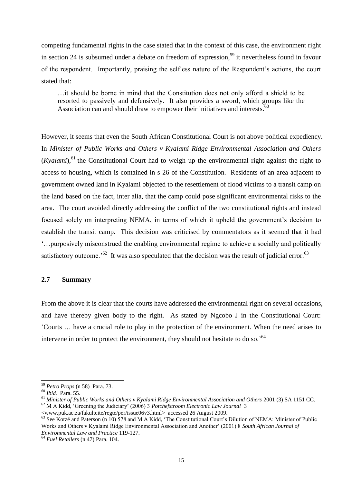competing fundamental rights in the case stated that in the context of this case, the environment right in section 24 is subsumed under a debate on freedom of expression,<sup>59</sup> it nevertheless found in favour of the respondent. Importantly, praising the selfless nature of the Respondent"s actions, the court stated that:

…it should be borne in mind that the Constitution does not only afford a shield to be resorted to passively and defensively. It also provides a sword, which groups like the Association can and should draw to empower their initiatives and interests. $60$ 

However, it seems that even the South African Constitutional Court is not above political expediency. In *Minister of Public Works and Others v Kyalami Ridge Environmental Association and Others* (*Kyalami*),<sup>61</sup> the Constitutional Court had to weigh up the environmental right against the right to access to housing, which is contained in s 26 of the Constitution. Residents of an area adjacent to government owned land in Kyalami objected to the resettlement of flood victims to a transit camp on the land based on the fact, inter alia, that the camp could pose significant environmental risks to the area. The court avoided directly addressing the conflict of the two constitutional rights and instead focused solely on interpreting NEMA, in terms of which it upheld the government's decision to establish the transit camp. This decision was criticised by commentators as it seemed that it had "…purposively misconstrued the enabling environmental regime to achieve a socially and politically satisfactory outcome.<sup>562</sup> It was also speculated that the decision was the result of judicial error.<sup>63</sup>

## **2.7 Summary**

From the above it is clear that the courts have addressed the environmental right on several occasions, and have thereby given body to the right. As stated by Ngcobo J in the Constitutional Court: "Courts … have a crucial role to play in the protection of the environment. When the need arises to intervene in order to protect the environment, they should not hesitate to do so.<sup>564</sup>

 $\overline{a}$ 

<sup>59</sup> *Petro Props* (n [58\)](#page-13-0) Para. 73.

<sup>60</sup> *Ibid.* Para. 55.

<sup>61</sup> *Minister of Public Works and Others v Kyalami Ridge Environmental Association and Others* 2001 (3) SA 1151 CC. <sup>62</sup> M A Kidd, "Greening the Judiciary" (2006) 3 *Potchefstroom Electronic Law Journal* 3

<sup>&</sup>lt;www.puk.ac.za/fakulteite/regte/per/issue06v3.html> accessed 26 August 2009.

 $^{63}$  See Kotzé and Paterson (n [10\)](#page-3-0) 578 and M A Kidd, 'The Constitutional Court's Dilution of NEMA: Minister of Public Works and Others v Kyalami Ridge Environmental Association and Another" (2001) 8 *South African Journal of Environmental Law and Practice* 119-127.

<sup>64</sup> *Fuel Retailers* (n [47\)](#page-11-0) Para. 104.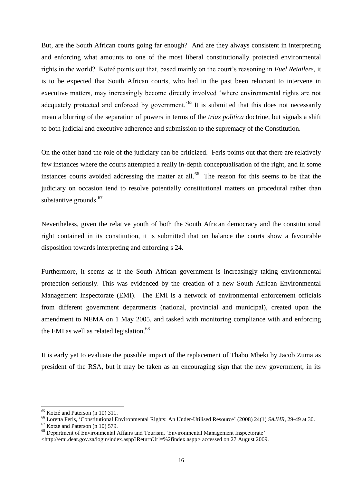But, are the South African courts going far enough? And are they always consistent in interpreting and enforcing what amounts to one of the most liberal constitutionally protected environmental rights in the world? Kotzé points out that, based mainly on the court"s reasoning in *Fuel Retailers*, it is to be expected that South African courts, who had in the past been reluctant to intervene in executive matters, may increasingly become directly involved "where environmental rights are not adequately protected and enforced by government.<sup>55</sup> It is submitted that this does not necessarily mean a blurring of the separation of powers in terms of the *trias politica* doctrine, but signals a shift to both judicial and executive adherence and submission to the supremacy of the Constitution.

On the other hand the role of the judiciary can be criticized. Feris points out that there are relatively few instances where the courts attempted a really in-depth conceptualisation of the right, and in some instances courts avoided addressing the matter at all.<sup>66</sup> The reason for this seems to be that the judiciary on occasion tend to resolve potentially constitutional matters on procedural rather than substantive grounds. $67$ 

<span id="page-16-0"></span>Nevertheless, given the relative youth of both the South African democracy and the constitutional right contained in its constitution, it is submitted that on balance the courts show a favourable disposition towards interpreting and enforcing s 24.

<span id="page-16-1"></span>Furthermore, it seems as if the South African government is increasingly taking environmental protection seriously. This was evidenced by the creation of a new South African Environmental Management Inspectorate (EMI). The EMI is a network of environmental enforcement officials from different government departments (national, provincial and municipal), created upon the amendment to NEMA on 1 May 2005, and tasked with monitoring compliance with and enforcing the EMI as well as related legislation.<sup>68</sup>

It is early yet to evaluate the possible impact of the replacement of Thabo Mbeki by Jacob Zuma as president of the RSA, but it may be taken as an encouraging sign that the new government, in its

-

<sup>67</sup> Kotzé and Paterson (n [10\)](#page-3-0) 579.

<sup>&</sup>lt;sup>65</sup> Kotzé and Paterson (n [10\)](#page-3-0) 311.

<sup>66</sup> Loretta Feris, "Constitutional Environmental Rights: An Under-Utilised Resource" (2008) 24(1) *SAJHR*, 29-49 at 30.

<sup>&</sup>lt;sup>68</sup> Department of Environmental Affairs and Tourism, 'Environmental Management Inspectorate'

<sup>&</sup>lt;http://emi.deat.gov.za/login/index.aspp?ReturnUrl=%2findex.aspp> accessed on 27 August 2009.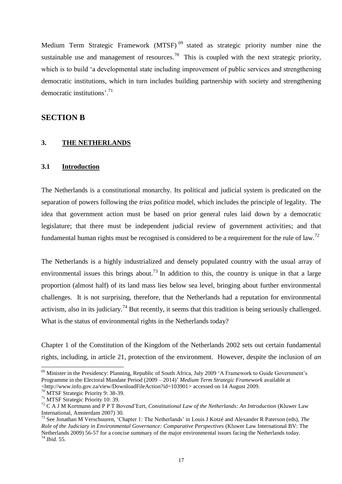Medium Term Strategic Framework (MTSF)<sup>69</sup> stated as strategic priority number nine the sustainable use and management of resources.<sup>70</sup> This is coupled with the next strategic priority, which is to build 'a developmental state including improvement of public services and strengthening democratic institutions, which in turn includes building partnership with society and strengthening democratic institutions'.<sup>71</sup>

# **SECTION B**

#### **3. THE NETHERLANDS**

#### **3.1 Introduction**

The Netherlands is a constitutional monarchy. Its political and judicial system is predicated on the separation of powers following the *trias politica* model, which includes the principle of legality. The idea that government action must be based on prior general rules laid down by a democratic legislature; that there must be independent judicial review of government activities; and that fundamental human rights must be recognised is considered to be a requirement for the rule of law.<sup>72</sup>

The Netherlands is a highly industrialized and densely populated country with the usual array of environmental issues this brings about.<sup>73</sup> In addition to this, the country is unique in that a large proportion (almost half) of its land mass lies below sea level, bringing about further environmental challenges. It is not surprising, therefore, that the Netherlands had a reputation for environmental activism, also in its judiciary.<sup>74</sup> But recently, it seems that this tradition is being seriously challenged. What is the status of environmental rights in the Netherlands today?

Chapter 1 of the Constitution of the Kingdom of the Netherlands 2002 sets out certain fundamental rights, including, in article 21, protection of the environment. However, despite the inclusion of *an*

<sup>69</sup> Minister in the Presidency: Planning, Republic of South Africa, July 2009 "A Framework to Guide Government"s Programme in the Electoral Mandate Period (2009 – 2014)" *Medium Term Strategic Framework* available at <http://www.info.gov.za/view/DownloadFileAction?id=103901> accessed on 14 August 2009.

<sup>70</sup> MTSF Strategic Priority 9: 38-39.

<sup>71</sup> MTSF Strategic Priority 10: 39.

<sup>72</sup> C A J M Kortmann and P P T Bovend"Eert, *Constitutional Law of the Netherlands: An Introduction* (Kluwer Law International, Amsterdam 2007) 30.

<sup>73</sup> See Jonathan M Verschuuren, "Chapter 1: The Netherlands" in Louis J Kotzé and Alexander R Paterson (eds), *The Role of the Judiciary in Environmental Governance: Comparative Perspectives* (Kluwer Law International BV: The Netherlands 2009) 56-57 for a concise summary of the major environmental issues facing the Netherlands today. <sup>74</sup> *Ibid.* 55.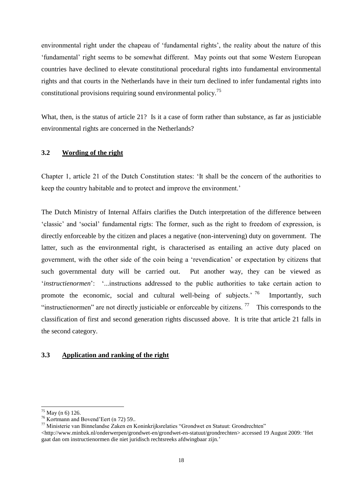environmental right under the chapeau of 'fundamental rights', the reality about the nature of this "fundamental" right seems to be somewhat different. May points out that some Western European countries have declined to elevate constitutional procedural rights into fundamental environmental rights and that courts in the Netherlands have in their turn declined to infer fundamental rights into constitutional provisions requiring sound environmental policy.<sup>75</sup>

What, then, is the status of article 21? Is it a case of form rather than substance, as far as justiciable environmental rights are concerned in the Netherlands?

## **3.2 Wording of the right**

Chapter 1, article 21 of the Dutch Constitution states: "It shall be the concern of the authorities to keep the country habitable and to protect and improve the environment."

The Dutch Ministry of Internal Affairs clarifies the Dutch interpretation of the difference between "classic" and "social" fundamental rigts: The former, such as the right to freedom of expression, is directly enforceable by the citizen and places a negative (non-intervening) duty on government. The latter, such as the environmental right, is characterised as entailing an active duty placed on government, with the other side of the coin being a "revendication" or expectation by citizens that such governmental duty will be carried out. Put another way, they can be viewed as 'instructienormen': '...instructions addressed to the public authorities to take certain action to promote the economic, social and cultural well-being of subjects.<sup>76</sup> Importantly, such "instructienormen" are not directly justiciable or enforceable by citizens.<sup>77</sup> This corresponds to the classification of first and second generation rights discussed above. It is trite that article 21 falls in the second category.

## **3.3 Application and ranking of the right**

 $^{75}$  May ([n 6\)](#page-1-0) 126.

<sup>76</sup> Kortmann and Bovend"Eert (n [72\)](#page-16-0) 59..

 $77$  Ministerie van Binnelandse  $\overline{Z}$ aken en Koninkrijksrelaties "Grondwet en Statuut: Grondrechten"

 $\langle$ http://www.minbzk.nl/onderwerpen/grondwet-en/grondwet-en-statuut/grondrechten> accessed 19 August 2009: 'Het gaat dan om instructienormen die niet juridisch rechtsreeks afdwingbaar zijn."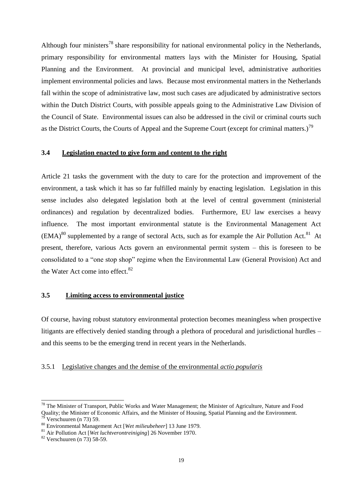Although four ministers<sup>78</sup> share responsibility for national environmental policy in the Netherlands, primary responsibility for environmental matters lays with the Minister for Housing, Spatial Planning and the Environment. At provincial and municipal level, administrative authorities implement environmental policies and laws. Because most environmental matters in the Netherlands fall within the scope of administrative law, most such cases are adjudicated by administrative sectors within the Dutch District Courts, with possible appeals going to the Administrative Law Division of the Council of State. Environmental issues can also be addressed in the civil or criminal courts such as the District Courts, the Courts of Appeal and the Supreme Court (except for criminal matters.)<sup>79</sup>

## **3.4 Legislation enacted to give form and content to the right**

<span id="page-19-0"></span>Article 21 tasks the government with the duty to care for the protection and improvement of the environment, a task which it has so far fulfilled mainly by enacting legislation. Legislation in this sense includes also delegated legislation both at the level of central government (ministerial ordinances) and regulation by decentralized bodies. Furthermore, EU law exercises a heavy influence. The most important environmental statute is the Environmental Management Act  $(EMA)^{80}$  supplemented by a range of sectoral Acts, such as for example the Air Pollution Act.<sup>81</sup> At present, therefore, various Acts govern an environmental permit system – this is foreseen to be consolidated to a "one stop shop" regime when the Environmental Law (General Provision) Act and the Water Act come into effect.<sup>82</sup>

## **3.5 Limiting access to environmental justice**

Of course, having robust statutory environmental protection becomes meaningless when prospective litigants are effectively denied standing through a plethora of procedural and jurisdictional hurdles – and this seems to be the emerging trend in recent years in the Netherlands.

#### 3.5.1 Legislative changes and the demise of the environmental *actio popularis*

1

<sup>&</sup>lt;sup>78</sup> The Minister of Transport, Public Works and Water Management; the Minister of Agriculture, Nature and Food Quality; the Minister of Economic Affairs, and the Minister of Housing, Spatial Planning and the Environment. Verschuuren (n [73\)](#page-16-1) 59.

<sup>80</sup> Environmental Management Act [*Wet milieubeheer*] 13 June 1979.

<sup>81</sup> Air Pollution Act [*Wet luchtverontreiniging*] 26 November 1970.

<sup>82</sup> Verschuuren (n [73\)](#page-16-1) 58-59.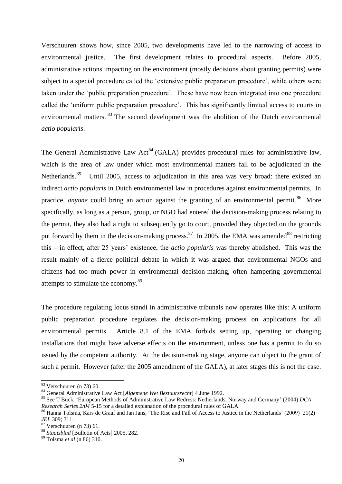Verschuuren shows how, since 2005, two developments have led to the narrowing of access to environmental justice. The first development relates to procedural aspects. Before 2005, administrative actions impacting on the environment (mostly decisions about granting permits) were subject to a special procedure called the "extensive public preparation procedure", while others were taken under the "public preparation procedure". These have now been integrated into one procedure called the "uniform public preparation procedure". This has significantly limited access to courts in environmental matters. <sup>83</sup> The second development was the abolition of the Dutch environmental *actio popularis*.

The General Administrative Law Act<sup>84</sup> (GALA) provides procedural rules for administrative law, which is the area of law under which most environmental matters fall to be adjudicated in the Netherlands.<sup>85</sup> Until 2005, access to adjudication in this area was very broad: there existed an indirect *actio popularis* in Dutch environmental law in procedures against environmental permits. In practice, *anyone* could bring an action against the granting of an environmental permit.<sup>86</sup> More specifically, as long as a person, group, or NGO had entered the decision-making process relating to the permit, they also had a right to subsequently go to court, provided they objected on the grounds put forward by them in the decision-making process.<sup>87</sup> In 2005, the EMA was amended<sup>88</sup> restricting this – in effect, after 25 years" existence, the *actio popularis* was thereby abolished. This was the result mainly of a fierce political debate in which it was argued that environmental NGOs and citizens had too much power in environmental decision-making, often hampering governmental attempts to stimulate the economy.<sup>89</sup>

The procedure regulating locus standi in administrative tribunals now operates like this: A uniform public preparation procedure regulates the decision-making process on applications for all environmental permits. Article 8.1 of the EMA forbids setting up, operating or changing installations that might have adverse effects on the environment, unless one has a permit to do so issued by the competent authority. At the decision-making stage, anyone can object to the grant of such a permit. However (after the 2005 amendment of the GALA), at later stages this is not the case.

 $\overline{a}$ 

 $83$  Verschuuren (n [73\)](#page-16-1) 60.

<sup>84</sup> General Administrative Law Act [*Algemene Wet Bestuursrecht*] 4 June 1992.

<sup>85</sup> See T Buck, "European Methods of Administrative Law Redress: Netherlands, Norway and Germany" (2004) *DCA Research Series 2/04* 5-15 for a detailed explanation of the procedural rules of GALA.

<sup>&</sup>lt;sup>86</sup> Hanna Tolsma, Kars de Graaf and Jan Jans, 'The Rise and Fall of Access to Justice in the Netherlands' (2009) 21(2) *JEL* 309; 311.

 $87$  Verschuuren (n [73\)](#page-16-1) 61.

<sup>88</sup> *Staatsblad* [Bulletin of Acts] 2005, 282.

<sup>89</sup> Tolsma *et al* (n [86\)](#page-19-0) 310.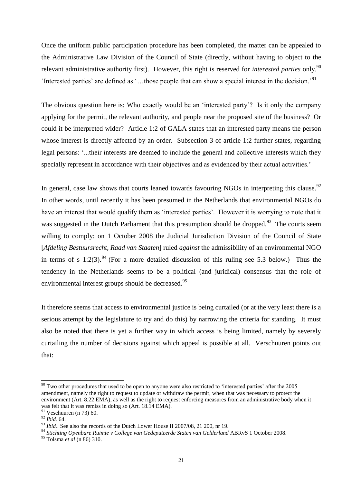Once the uniform public participation procedure has been completed, the matter can be appealed to the Administrative Law Division of the Council of State (directly, without having to object to the relevant administrative authority first). However, this right is reserved for *interested parties* only.<sup>90</sup> 'Interested parties' are defined as '...those people that can show a special interest in the decision.'<sup>91</sup>

The obvious question here is: Who exactly would be an "interested party"? Is it only the company applying for the permit, the relevant authority, and people near the proposed site of the business? Or could it be interpreted wider? Article 1:2 of GALA states that an interested party means the person whose interest is directly affected by an order. Subsection 3 of article 1:2 further states, regarding legal persons: "...their interests are deemed to include the general and collective interests which they specially represent in accordance with their objectives and as evidenced by their actual activities.'

In general, case law shows that courts leaned towards favouring NGOs in interpreting this clause.<sup>92</sup> In other words, until recently it has been presumed in the Netherlands that environmental NGOs do have an interest that would qualify them as 'interested parties'. However it is worrying to note that it was suggested in the Dutch Parliament that this presumption should be dropped.<sup>93</sup> The courts seem willing to comply: on 1 October 2008 the Judicial Jurisdiction Division of the Council of State [*Afdeling Bestuursrecht, Raad van Staaten*] ruled *against* the admissibility of an environmental NGO in terms of s 1:2(3). <sup>94</sup> (For a more detailed discussion of this ruling see 5.3 below.) Thus the tendency in the Netherlands seems to be a political (and juridical) consensus that the role of environmental interest groups should be decreased.<sup>95</sup>

It therefore seems that access to environmental justice is being curtailed (or at the very least there is a serious attempt by the legislature to try and do this) by narrowing the criteria for standing. It must also be noted that there is yet a further way in which access is being limited, namely by severely curtailing the number of decisions against which appeal is possible at all. Verschuuren points out that:

 $\overline{a}$ 

 $90$  Two other procedures that used to be open to anyone were also restricted to 'interested parties' after the 2005 amendment, namely the right to request to update or withdraw the permit, when that was necessary to protect the environment (Art. 8.22 EMA), as well as the right to request enforcing measures from an administrative body when it was felt that it was remiss in doing so (Art. 18.14 EMA). <sup>91</sup> Veschuuren (n [73\)](#page-16-1) 60.

<sup>92</sup> *Ibid.* 64.

<sup>&</sup>lt;sup>93</sup> *Ibid.*. See also the records of the Dutch Lower House II 2007/08, 21 200, nr 19.

<sup>94</sup> *Stichting Openbare Ruimte v College van Gedeputeerde Staten van Gelderland* ABRvS 1 October 2008.

<sup>95</sup> Tolsma *et al* (n [86\)](#page-19-0) 310.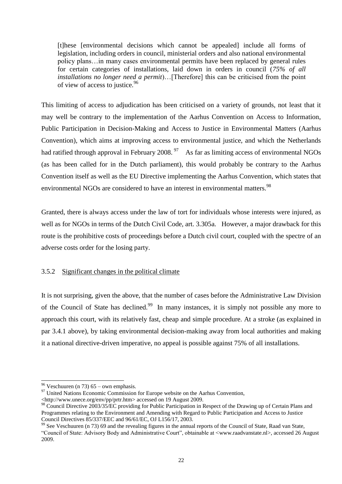[t]hese [environmental decisions which cannot be appealed] include all forms of legislation, including orders in council, ministerial orders and also national environmental policy plans…in many cases environmental permits have been replaced by general rules for certain categories of installations, laid down in orders in council (*75% of all installations no longer need a permit*)…[Therefore] this can be criticised from the point of view of access to justice.<sup>96</sup>

This limiting of access to adjudication has been criticised on a variety of grounds, not least that it may well be contrary to the implementation of the Aarhus Convention on Access to Information, Public Participation in Decision-Making and Access to Justice in Environmental Matters (Aarhus Convention), which aims at improving access to environmental justice, and which the Netherlands had ratified through approval in February 2008.<sup>97</sup> As far as limiting access of environmental NGOs (as has been called for in the Dutch parliament), this would probably be contrary to the Aarhus Convention itself as well as the EU Directive implementing the Aarhus Convention, which states that environmental NGOs are considered to have an interest in environmental matters.<sup>98</sup>

Granted, there is always access under the law of tort for individuals whose interests were injured, as well as for NGOs in terms of the Dutch Civil Code, art. 3.305a. However, a major drawback for this route is the prohibitive costs of proceedings before a Dutch civil court, coupled with the spectre of an adverse costs order for the losing party.

## 3.5.2 Significant changes in the political climate

It is not surprising, given the above, that the number of cases before the Administrative Law Division of the Council of State has declined.<sup>99</sup> In many instances, it is simply not possible any more to approach this court, with its relatively fast, cheap and simple procedure. At a stroke (as explained in par 3.4.1 above), by taking environmental decision-making away from local authorities and making it a national directive-driven imperative, no appeal is possible against 75% of all installations.

 $\overline{a}$ <sup>96</sup> Veschuuren (n [73\)](#page-16-1) 65 – own emphasis.

 $97$  United Nations Economic Commission for Europe website on the Aarhus Convention,

<sup>&</sup>lt;http://www.unece.org/env/pp/prtr.htm> accessed on 19 August 2009.

<sup>&</sup>lt;sup>98</sup> Council Directive 2003/35/EC providing for Public Participation in Respect of the Drawing up of Certain Plans and Programmes relating to the Environment and Amending with Regard to Public Participation and Access to Justice Council Directives 85/337/EEC and 96/61/EC, OJ L156/17, 2003.

 $99$  See Veschuuren (n [73\)](#page-16-1) 69 and the revealing figures in the annual reports of the Council of State, Raad van State, "Council of State: Advisory Body and Administrative Court", obtainable at <www.raadvanstate.nl>, accessed 26 August 2009.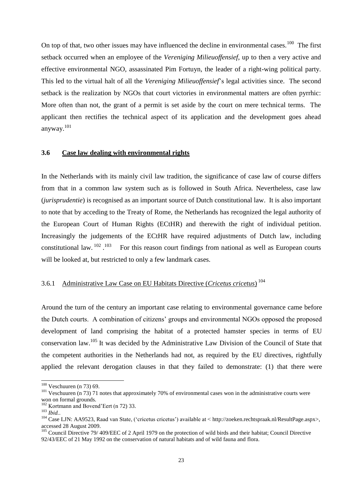On top of that, two other issues may have influenced the decline in environmental cases.<sup>100</sup> The first setback occurred when an employee of the *Vereniging Milieuoffensief*, up to then a very active and effective environmental NGO, assassinated Pim Fortuyn, the leader of a right-wing political party. This led to the virtual halt of all the *Vereniging Milieuoffensief*"s legal activities since. The second setback is the realization by NGOs that court victories in environmental matters are often pyrrhic: More often than not, the grant of a permit is set aside by the court on mere technical terms. The applicant then rectifies the technical aspect of its application and the development goes ahead anyway.<sup>101</sup>

#### **3.6 Case law dealing with environmental rights**

In the Netherlands with its mainly civil law tradition, the significance of case law of course differs from that in a common law system such as is followed in South Africa. Nevertheless, case law (*jurisprudentie*) is recognised as an important source of Dutch constitutional law. It is also important to note that by acceding to the Treaty of Rome, the Netherlands has recognized the legal authority of the European Court of Human Rights (ECtHR) and therewith the right of individual petition. Increasingly the judgements of the ECtHR have required adjustments of Dutch law, including constitutional law. <sup>102</sup> . 103 For this reason court findings from national as well as European courts will be looked at, but restricted to only a few landmark cases.

# 3.6.1 Administrative Law Case on EU Habitats Directive (*Cricetus cricetus*) 104

Around the turn of the century an important case relating to environmental governance came before the Dutch courts. A combination of citizens" groups and environmental NGOs opposed the proposed development of land comprising the habitat of a protected hamster species in terms of EU conservation law.<sup>105</sup> It was decided by the Administrative Law Division of the Council of State that the competent authorities in the Netherlands had not, as required by the EU directives, rightfully applied the relevant derogation clauses in that they failed to demonstrate: (1) that there were

 $\overline{a}$ 

 $100$  Veschuuren (n [73\)](#page-16-1) 69.

<sup>&</sup>lt;sup>101</sup> Veschuuren (n 73) 71 notes that approximately 70% of environmental cases won in the administrative courts were won on formal grounds.

<sup>&</sup>lt;sup>102</sup> Kortmann and Bovend'Eert (n [72\)](#page-16-0) 33.

<sup>103</sup> *Ibid.*.

<sup>&</sup>lt;sup>104</sup> Case LJN: AA9523, Raad van State, ('cricetus cricetus') available at < http://zoeken.rechtspraak.nl/ResultPage.aspx>, accessed 28 August 2009.

<sup>&</sup>lt;sup>105</sup> Council Directive 79/ 409/EEC of 2 April 1979 on the protection of wild birds and their habitat; Council Directive 92/43/EEC of 21 May 1992 on the conservation of natural habitats and of wild fauna and flora.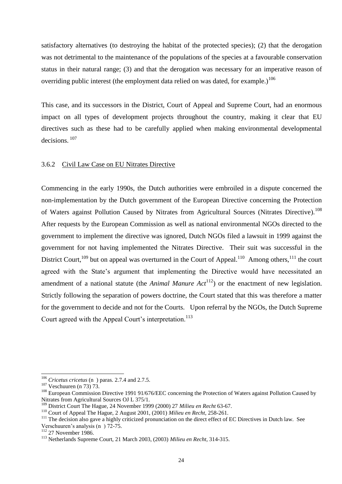satisfactory alternatives (to destroying the habitat of the protected species); (2) that the derogation was not detrimental to the maintenance of the populations of the species at a favourable conservation status in their natural range; (3) and that the derogation was necessary for an imperative reason of overriding public interest (the employment data relied on was dated, for example.)<sup>106</sup>

This case, and its successors in the District, Court of Appeal and Supreme Court, had an enormous impact on all types of development projects throughout the country, making it clear that EU directives such as these had to be carefully applied when making environmental developmental decisions.<sup>107</sup>

#### 3.6.2 Civil Law Case on EU Nitrates Directive

Commencing in the early 1990s, the Dutch authorities were embroiled in a dispute concerned the non-implementation by the Dutch government of the European Directive concerning the Protection of Waters against Pollution Caused by Nitrates from Agricultural Sources (Nitrates Directive).<sup>108</sup> After requests by the European Commission as well as national environmental NGOs directed to the government to implement the directive was ignored, Dutch NGOs filed a lawsuit in 1999 against the government for not having implemented the Nitrates Directive. Their suit was successful in the District Court,  $^{109}$  but on appeal was overturned in the Court of Appeal.  $^{110}$  Among others,  $^{111}$  the court agreed with the State's argument that implementing the Directive would have necessitated an amendment of a national statute (the *Animal Manure Act*<sup>112</sup>) or the enactment of new legislation. Strictly following the separation of powers doctrine, the Court stated that this was therefore a matter for the government to decide and not for the Courts. Upon referral by the NGOs, the Dutch Supreme Court agreed with the Appeal Court's interpretation.<sup>113</sup>

<sup>106</sup> *Cricetus cricetus* (n ) paras. 2.7.4 and 2.7.5.

<sup>107</sup> Veschuuren (n [73\)](#page-16-1) 73.

<sup>&</sup>lt;sup>108</sup> European Commission Directive 1991 91/676/EEC concerning the Protection of Waters against Pollution Caused by Nitrates from Agricultural Sources OJ L 375/1.

<sup>109</sup> District Court The Hague, 24 November 1999 (2000) 27 *Milieu en Recht* 63-67.

<sup>110</sup> Court of Appeal The Hague, 2 August 2001, (2001) *Milieu en Recht*, 258-261.

<sup>&</sup>lt;sup>111</sup> The decision also gave a highly criticized pronunciation on the direct effect of EC Directives in Dutch law. See Verschuuren's analysis (n ) 72-75.

<sup>&</sup>lt;sup>112</sup> 27 November 1986.

<sup>113</sup> Netherlands Supreme Court, 21 March 2003, (2003) *Milieu en Recht*, 314-315.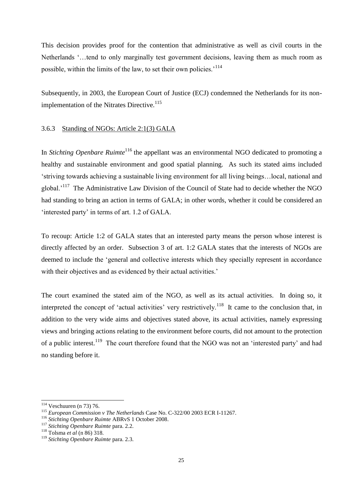This decision provides proof for the contention that administrative as well as civil courts in the Netherlands "…tend to only marginally test government decisions, leaving them as much room as possible, within the limits of the law, to set their own policies.<sup>114</sup>

Subsequently, in 2003, the European Court of Justice (ECJ) condemned the Netherlands for its nonimplementation of the Nitrates Directive.<sup>115</sup>

## 3.6.3 Standing of NGOs: Article 2:1(3) GALA

In *Stichting Openbare Ruimte*<sup>116</sup> the appellant was an environmental NGO dedicated to promoting a healthy and sustainable environment and good spatial planning. As such its stated aims included "striving towards achieving a sustainable living environment for all living beings…local, national and global.<sup>117</sup> The Administrative Law Division of the Council of State had to decide whether the NGO had standing to bring an action in terms of GALA; in other words, whether it could be considered an "interested party" in terms of art. 1.2 of GALA.

To recoup: Article 1:2 of GALA states that an interested party means the person whose interest is directly affected by an order. Subsection 3 of art. 1:2 GALA states that the interests of NGOs are deemed to include the "general and collective interests which they specially represent in accordance with their objectives and as evidenced by their actual activities.'

<span id="page-25-0"></span>The court examined the stated aim of the NGO, as well as its actual activities. In doing so, it interpreted the concept of 'actual activities' very restrictively.<sup>118</sup> It came to the conclusion that, in addition to the very wide aims and objectives stated above, its actual activities, namely expressing views and bringing actions relating to the environment before courts, did not amount to the protection of a public interest.<sup>119</sup> The court therefore found that the NGO was not an 'interested party' and had no standing before it.

1

 $114$  Veschuuren (n [73\)](#page-16-1) 76.

<sup>115</sup> *European Commission v The Netherlands* Case No. C-322/00 2003 ECR I-11267.

<sup>116</sup> *Stichting Openbare Ruimte* ABRvS 1 October 2008.

<sup>117</sup> *Stichting Openbare Ruimte* para. 2.2.

<sup>118</sup> Tolsma *et al* ([n 86\)](#page-19-0) 318.

<sup>119</sup> *Stichting Openbare Ruimte* para. 2.3.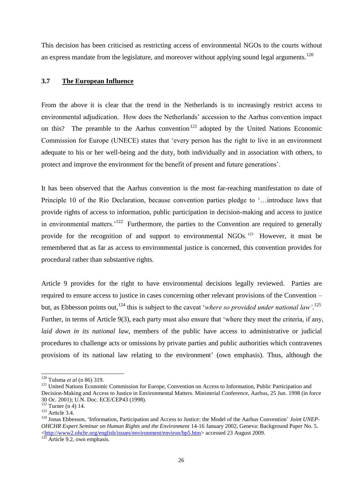This decision has been criticised as restricting access of environmental NGOs to the courts without an express mandate from the legislature, and moreover without applying sound legal arguments.<sup>120</sup>

## **3.7 The European Influence**

From the above it is clear that the trend in the Netherlands is to increasingly restrict access to environmental adjudication. How does the Netherlands" accession to the Aarhus convention impact on this? The preamble to the Aarhus convention<sup>121</sup> adopted by the United Nations Economic Commission for Europe (UNECE) states that "every person has the right to live in an environment adequate to his or her well-being and the duty, both individually and in association with others, to protect and improve the environment for the benefit of present and future generations".

It has been observed that the Aarhus convention is the most far-reaching manifestation to date of Principle 10 of the Rio Declaration, because convention parties pledge to "…introduce laws that provide rights of access to information, public participation in decision-making and access to justice in environmental matters.<sup>'122</sup> Furthermore, the parties to the Convention are required to generally provide for the recognition of and support to environmental NGOs.<sup>123</sup> However, it must be remembered that as far as access to environmental justice is concerned, this convention provides for procedural rather than substantive rights.

Article 9 provides for the right to have environmental decisions legally reviewed. Parties are required to ensure access to justice in cases concerning other relevant provisions of the Convention – but, as Ebbesson points out,<sup>124</sup> this is subject to the caveat 'where so provided under national law'.<sup>125</sup> Further, in terms of Article 9(3), each party must also ensure that "where they meet the criteria, if any, *laid down in its national law*, members of the public have access to administrative or judicial procedures to challenge acts or omissions by private parties and public authorities which contravenes provisions of its national law relating to the environment" (own emphasis). Thus, although the

<sup>120</sup> Tolsma *et al* ([n 86\)](#page-19-0) 319.

<sup>&</sup>lt;sup>121</sup> United Nations Economic Commission for Europe, Convention on Access to Information, Public Participation and Decision-Making and Access to Justice in Environmental Matters. Ministerial Conference, Aarhus, 25 Jun. 1998 (in force 30 Oc. 2001); U.N. Doc. ECE/CEP43 (1998).

 $122$  Turner (n [4\)](#page-1-2) 14.

<sup>123</sup> Article 3.4.

<sup>&</sup>lt;sup>124</sup> Jonas Ebbesson, 'Information, Participation and Access to Justice: the Model of the Aarhus Convention' *Joint UNEP*-*OHCHR Expert Seminar on Human Rights and the Environment* 14-16 January 2002, Geneva: Background Paper No. 5. [<http://www2.ohchr.org/english/issues/environment/environ/bp5.htm>](http://www2.ohchr.org/english/issues/environment/environ/bp5.htm) accessed 23 August 2009.

 $125$  Article 9.2, own emphasis.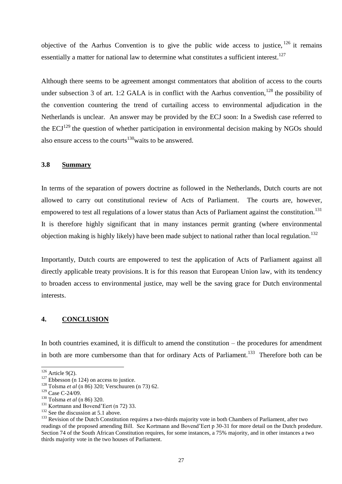objective of the Aarhus Convention is to give the public wide access to justice,  $^{126}$  it remains essentially a matter for national law to determine what constitutes a sufficient interest.<sup>127</sup>

Although there seems to be agreement amongst commentators that abolition of access to the courts under subsection 3 of art. 1:2 GALA is in conflict with the Aarhus convention,  $^{128}$  the possibility of the convention countering the trend of curtailing access to environmental adjudication in the Netherlands is unclear. An answer may be provided by the ECJ soon: In a Swedish case referred to the  $ECJ<sup>129</sup>$  the question of whether participation in environmental decision making by NGOs should also ensure access to the courts<sup> $130$ </sup> waits to be answered.

#### **3.8 Summary**

In terms of the separation of powers doctrine as followed in the Netherlands, Dutch courts are not allowed to carry out constitutional review of Acts of Parliament. The courts are, however, empowered to test all regulations of a lower status than Acts of Parliament against the constitution.<sup>131</sup> It is therefore highly significant that in many instances permit granting (where environmental objection making is highly likely) have been made subject to national rather than local regulation.<sup>132</sup>

Importantly, Dutch courts are empowered to test the application of Acts of Parliament against all directly applicable treaty provisions. It is for this reason that European Union law, with its tendency to broaden access to environmental justice, may well be the saving grace for Dutch environmental interests.

#### **4. CONCLUSION**

In both countries examined, it is difficult to amend the constitution – the procedures for amendment in both are more cumbersome than that for ordinary Acts of Parliament.<sup>133</sup> Therefore both can be

 $126$  Article 9(2).

 $127$  Ebbesson (n [124\)](#page-25-0) on access to justice.

<sup>128</sup> Tolsma *et al* ([n 86\)](#page-19-0) 320; Verschuuren (n [73\)](#page-16-1) 62.

<sup>129</sup> Case C-24/09.

<sup>130</sup> Tolsma *et al* ([n 86\)](#page-19-0) 320.

<sup>&</sup>lt;sup>131</sup> Kortmann and Bovend'Eert (n [72\)](#page-16-0) 33.

<sup>&</sup>lt;sup>132</sup> See the discussion at 5.1 above.

<sup>&</sup>lt;sup>133</sup> Revision of the Dutch Constitution requires a two-thirds majority vote in both Chambers of Parliament, after two readings of the proposed amending Bill. See Kortmann and Bovend"Eert p 30-31 for more detail on the Dutch prodedure. Section 74 of the South African Constitution requires, for some instances, a 75% majority, and in other instances a two thirds majority vote in the two houses of Parliament.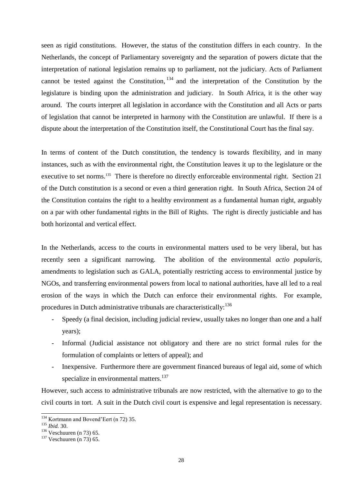seen as rigid constitutions. However, the status of the constitution differs in each country. In the Netherlands, the concept of Parliamentary sovereignty and the separation of powers dictate that the interpretation of national legislation remains up to parliament, not the judiciary. Acts of Parliament cannot be tested against the Constitution,  $134$  and the interpretation of the Constitution by the legislature is binding upon the administration and judiciary. In South Africa, it is the other way around. The courts interpret all legislation in accordance with the Constitution and all Acts or parts of legislation that cannot be interpreted in harmony with the Constitution are unlawful. If there is a dispute about the interpretation of the Constitution itself, the Constitutional Court has the final say.

In terms of content of the Dutch constitution, the tendency is towards flexibility, and in many instances, such as with the environmental right, the Constitution leaves it up to the legislature or the executive to set norms.<sup>135</sup> There is therefore no directly enforceable environmental right. Section 21 of the Dutch constitution is a second or even a third generation right. In South Africa, Section 24 of the Constitution contains the right to a healthy environment as a fundamental human right, arguably on a par with other fundamental rights in the Bill of Rights. The right is directly justiciable and has both horizontal and vertical effect.

In the Netherlands, access to the courts in environmental matters used to be very liberal, but has recently seen a significant narrowing. The abolition of the environmental *actio popularis*, amendments to legislation such as GALA, potentially restricting access to environmental justice by NGOs, and transferring environmental powers from local to national authorities, have all led to a real erosion of the ways in which the Dutch can enforce their environmental rights. For example, procedures in Dutch administrative tribunals are characteristically:<sup>136</sup>

- Speedy (a final decision, including judicial review, usually takes no longer than one and a half years);
- Informal (Judicial assistance not obligatory and there are no strict formal rules for the formulation of complaints or letters of appeal); and
- Inexpensive. Furthermore there are government financed bureaus of legal aid, some of which specialize in environmental matters.<sup>137</sup>

However, such access to administrative tribunals are now restricted, with the alternative to go to the civil courts in tort. A suit in the Dutch civil court is expensive and legal representation is necessary.

<sup>&</sup>lt;sup>134</sup> Kortmann and Bovend'Eert (n [72\)](#page-16-0) 35.

<sup>135</sup> *Ibid.* 30.

<sup>136</sup> Veschuuren (n 73) 65.

 $137$  Veschuuren (n [73\)](#page-16-1) 65.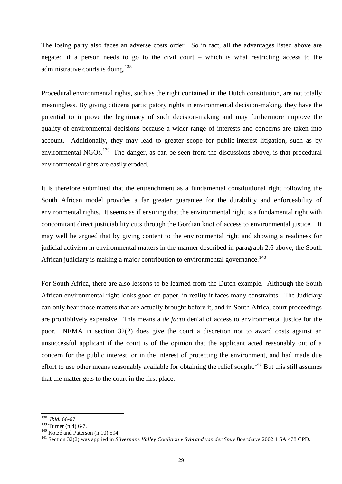The losing party also faces an adverse costs order. So in fact, all the advantages listed above are negated if a person needs to go to the civil court – which is what restricting access to the administrative courts is doing.<sup>138</sup>

Procedural environmental rights, such as the right contained in the Dutch constitution, are not totally meaningless. By giving citizens participatory rights in environmental decision-making, they have the potential to improve the legitimacy of such decision-making and may furthermore improve the quality of environmental decisions because a wider range of interests and concerns are taken into account. Additionally, they may lead to greater scope for public-interest litigation, such as by environmental NGOs.<sup>139</sup> The danger, as can be seen from the discussions above, is that procedural environmental rights are easily eroded.

It is therefore submitted that the entrenchment as a fundamental constitutional right following the South African model provides a far greater guarantee for the durability and enforceability of environmental rights. It seems as if ensuring that the environmental right is a fundamental right with concomitant direct justiciability cuts through the Gordian knot of access to environmental justice. It may well be argued that by giving content to the environmental right and showing a readiness for judicial activism in environmental matters in the manner described in paragraph 2.6 above, the South African judiciary is making a major contribution to environmental governance.<sup>140</sup>

For South Africa, there are also lessons to be learned from the Dutch example. Although the South African environmental right looks good on paper, in reality it faces many constraints. The Judiciary can only hear those matters that are actually brought before it, and in South Africa, court proceedings are prohibitively expensive. This means a *de facto* denial of access to environmental justice for the poor. NEMA in section 32(2) does give the court a discretion not to award costs against an unsuccessful applicant if the court is of the opinion that the applicant acted reasonably out of a concern for the public interest, or in the interest of protecting the environment, and had made due effort to use other means reasonably available for obtaining the relief sought.<sup>141</sup> But this still assumes that the matter gets to the court in the first place.

<sup>&</sup>lt;sup>138</sup> *Ibid.* 66-67.

 $139$  Turner (n [4\)](#page-1-2) 6-7.

<sup>&</sup>lt;sup>140</sup> Kotzé and Paterson (n [10\)](#page-3-0) 594.

<sup>&</sup>lt;sup>141</sup> Section 32(2) was applied in *Silvermine Valley Coalition v Sybrand van der Spuy Boerderye* 2002 1 SA 478 CPD.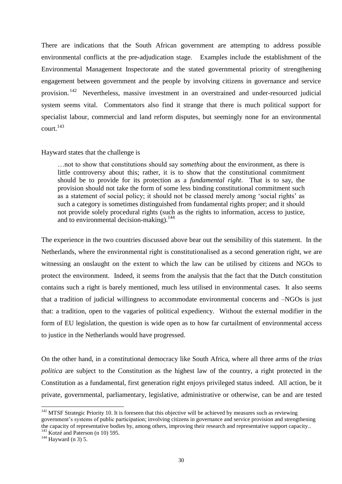There are indications that the South African government are attempting to address possible environmental conflicts at the pre-adjudication stage. Examples include the establishment of the Environmental Management Inspectorate and the stated governmental priority of strengthening engagement between government and the people by involving citizens in governance and service provision.<sup>142</sup> Nevertheless, massive investment in an overstrained and under-resourced judicial system seems vital. Commentators also find it strange that there is much political support for specialist labour, commercial and land reform disputes, but seemingly none for an environmental court $^{143}$ 

#### Hayward states that the challenge is

…not to show that constitutions should say *something* about the environment, as there is little controversy about this; rather, it is to show that the constitutional commitment should be to provide for its protection as a *fundamental right*. That is to say, the provision should not take the form of some less binding constitutional commitment such as a statement of social policy; it should not be classed merely among 'social rights' as such a category is sometimes distinguished from fundamental rights proper; and it should not provide solely procedural rights (such as the rights to information, access to justice, and to environmental decision-making).<sup>144</sup>

The experience in the two countries discussed above bear out the sensibility of this statement. In the Netherlands, where the environmental right is constitutionalised as a second generation right, we are witnessing an onslaught on the extent to which the law can be utilised by citizens and NGOs to protect the environment. Indeed, it seems from the analysis that the fact that the Dutch constitution contains such a right is barely mentioned, much less utilised in environmental cases. It also seems that a tradition of judicial willingness to accommodate environmental concerns and –NGOs is just that: a tradition, open to the vagaries of political expediency. Without the external modifier in the form of EU legislation, the question is wide open as to how far curtailment of environmental access to justice in the Netherlands would have progressed.

On the other hand, in a constitutional democracy like South Africa, where all three arms of the *trias politica* are subject to the Constitution as the highest law of the country, a right protected in the Constitution as a fundamental, first generation right enjoys privileged status indeed. All action, be it private, governmental, parliamentary, legislative, administrative or otherwise, can be and are tested

 $142$  MTSF Strategic Priority 10. It is foreseen that this objective will be achieved by measures such as reviewing government's systems of public participation; involving citizens in governance and service provision and strengthening the capacity of representative bodies by, among others, improving their research and representative support capacity..

<sup>&</sup>lt;sup>143</sup> Kotzé and Paterson (n [10\)](#page-3-0) 595.

 $144$  Hayward (n [3\)](#page-1-3) 5.